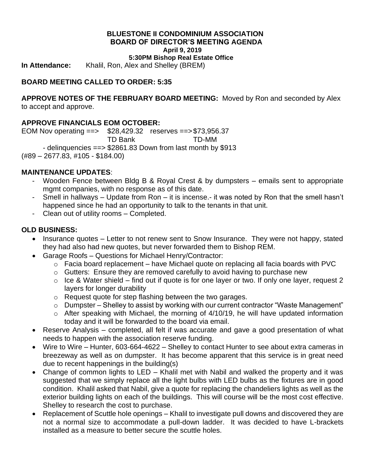#### **BLUESTONE II CONDOMINIUM ASSOCIATION BOARD OF DIRECTOR'S MEETING AGENDA April 9, 2019**

**5:30PM Bishop Real Estate Office**

**In Attendance:** Khalil, Ron, Alex and Shelley (BREM)

# **BOARD MEETING CALLED TO ORDER: 5:35**

**APPROVE NOTES OF THE FEBRUARY BOARD MEETING:** Moved by Ron and seconded by Alex to accept and approve.

# **APPROVE FINANCIALS EOM OCTOBER:**

EOM Nov operating ==> \$28,429.32 reserves ==>\$73,956.37 TD Bank TD-MM - delinquencies ==> \$2861.83 Down from last month by \$913 (#89 – 2677.83, #105 - \$184.00)

### **MAINTENANCE UPDATES**:

- Wooden Fence between Bldg B & Royal Crest & by dumpsters emails sent to appropriate mgmt companies, with no response as of this date.
- Smell in hallways Update from Ron it is incense.- it was noted by Ron that the smell hasn't happened since he had an opportunity to talk to the tenants in that unit.
- Clean out of utility rooms Completed.

### **OLD BUSINESS:**

- Insurance quotes Letter to not renew sent to Snow Insurance. They were not happy, stated they had also had new quotes, but never forwarded them to Bishop REM.
- Garage Roofs Questions for Michael Henry/Contractor:
	- $\circ$  Facia board replacement have Michael quote on replacing all facia boards with PVC
	- o Gutters: Ensure they are removed carefully to avoid having to purchase new
	- $\circ$  Ice & Water shield find out if quote is for one layer or two. If only one layer, request 2 layers for longer durability
	- o Request quote for step flashing between the two garages.
	- o Dumpster Shelley to assist by working with our current contractor "Waste Management"
	- $\circ$  After speaking with Michael, the morning of 4/10/19, he will have updated information today and it will be forwarded to the board via email.
- Reserve Analysis completed, all felt if was accurate and gave a good presentation of what needs to happen with the association reserve funding.
- Wire to Wire Hunter, 603-664-4622 Shelley to contact Hunter to see about extra cameras in breezeway as well as on dumpster. It has become apparent that this service is in great need due to recent happenings in the building(s)
- Change of common lights to LED Khalil met with Nabil and walked the property and it was suggested that we simply replace all the light bulbs with LED bulbs as the fixtures are in good condition. Khalil asked that Nabil, give a quote for replacing the chandeliers lights as well as the exterior building lights on each of the buildings. This will course will be the most cost effective. Shelley to research the cost to purchase.
- Replacement of Scuttle hole openings Khalil to investigate pull downs and discovered they are not a normal size to accommodate a pull-down ladder. It was decided to have L-brackets installed as a measure to better secure the scuttle holes.